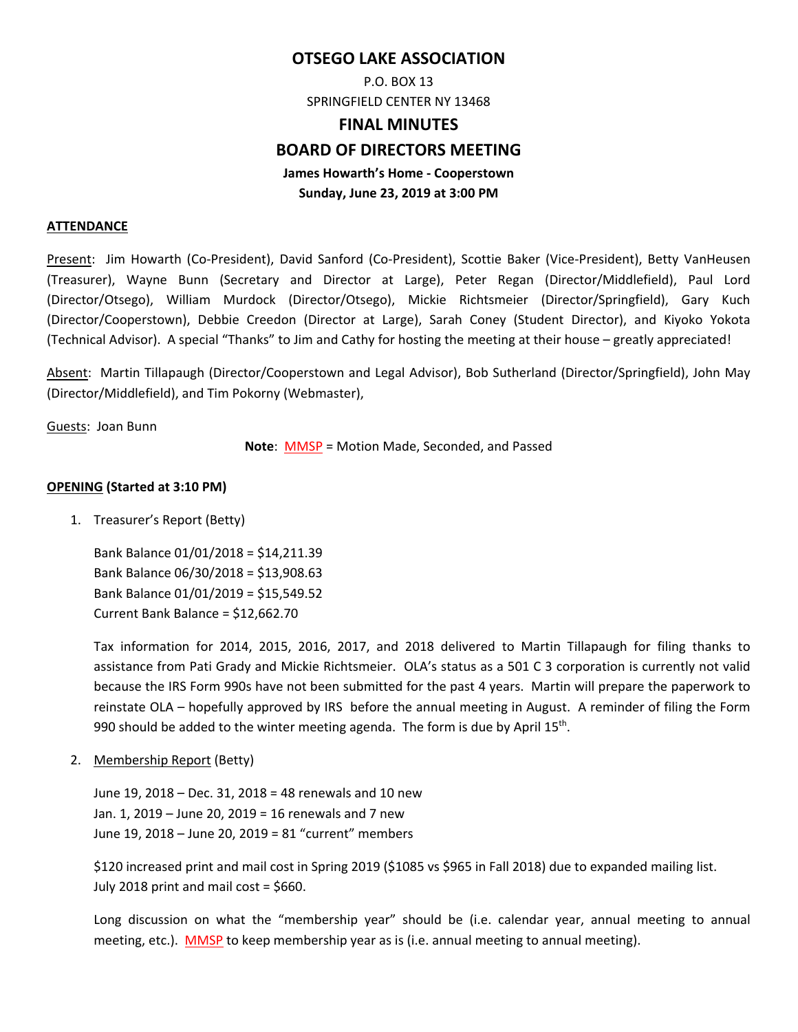# **OTSEGO LAKE ASSOCIATION**

P.O. BOX 13 SPRINGFIELD CENTER NY 13468

### **FINAL MINUTES**

## **BOARD OF DIRECTORS MEETING**

# **James Howarth's Home ‐ Cooperstown Sunday, June 23, 2019 at 3:00 PM**

#### **ATTENDANCE**

Present: Jim Howarth (Co‐President), David Sanford (Co‐President), Scottie Baker (Vice‐President), Betty VanHeusen (Treasurer), Wayne Bunn (Secretary and Director at Large), Peter Regan (Director/Middlefield), Paul Lord (Director/Otsego), William Murdock (Director/Otsego), Mickie Richtsmeier (Director/Springfield), Gary Kuch (Director/Cooperstown), Debbie Creedon (Director at Large), Sarah Coney (Student Director), and Kiyoko Yokota (Technical Advisor). A special "Thanks" to Jim and Cathy for hosting the meeting at their house – greatly appreciated!

Absent: Martin Tillapaugh (Director/Cooperstown and Legal Advisor), Bob Sutherland (Director/Springfield), John May (Director/Middlefield), and Tim Pokorny (Webmaster),

Guests: Joan Bunn

**Note**: MMSP = Motion Made, Seconded, and Passed

#### **OPENING (Started at 3:10 PM)**

1. Treasurer's Report (Betty)

Bank Balance 01/01/2018 = \$14,211.39 Bank Balance 06/30/2018 = \$13,908.63 Bank Balance 01/01/2019 = \$15,549.52 Current Bank Balance = \$12,662.70

Tax information for 2014, 2015, 2016, 2017, and 2018 delivered to Martin Tillapaugh for filing thanks to assistance from Pati Grady and Mickie Richtsmeier. OLA's status as a 501 C 3 corporation is currently not valid because the IRS Form 990s have not been submitted for the past 4 years. Martin will prepare the paperwork to reinstate OLA – hopefully approved by IRS before the annual meeting in August. A reminder of filing the Form 990 should be added to the winter meeting agenda. The form is due by April 15<sup>th</sup>.

2. Membership Report (Betty)

June 19, 2018 – Dec. 31, 2018 = 48 renewals and 10 new Jan. 1, 2019 – June 20, 2019 = 16 renewals and 7 new June 19, 2018 – June 20, 2019 = 81 "current" members

\$120 increased print and mail cost in Spring 2019 (\$1085 vs \$965 in Fall 2018) due to expanded mailing list. July 2018 print and mail cost = \$660.

Long discussion on what the "membership year" should be (i.e. calendar year, annual meeting to annual meeting, etc.). MMSP to keep membership year as is (i.e. annual meeting to annual meeting).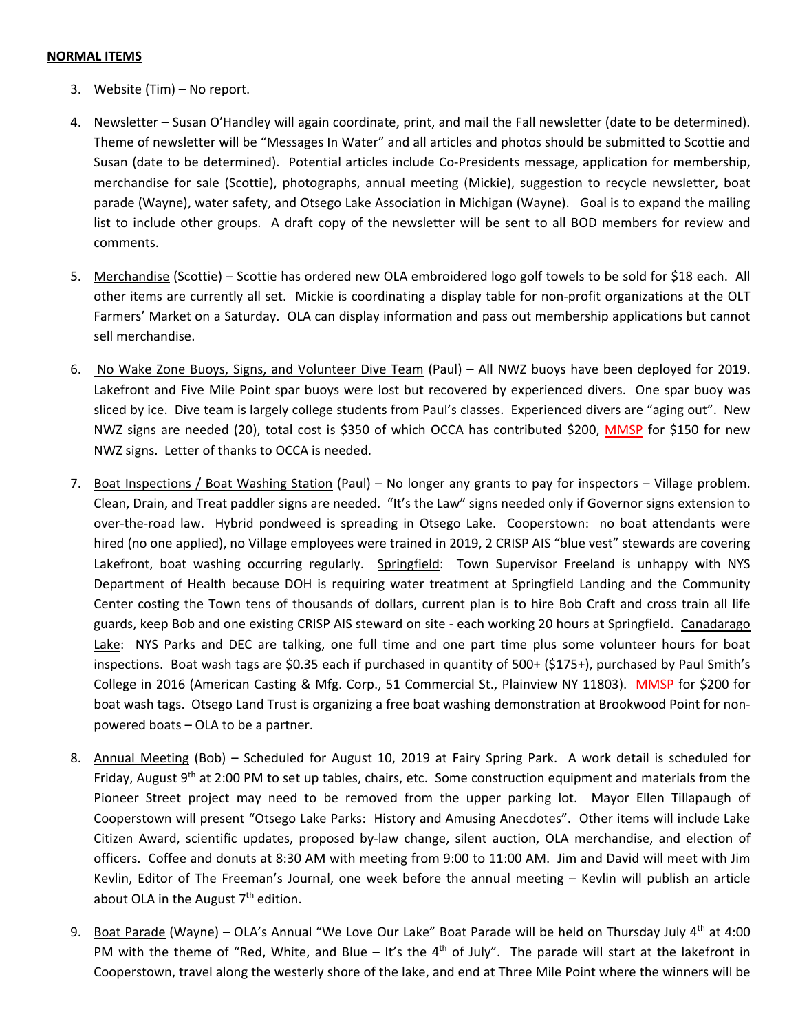#### **NORMAL ITEMS**

- 3. Website (Tim) No report.
- 4. Newsletter Susan O'Handley will again coordinate, print, and mail the Fall newsletter (date to be determined). Theme of newsletter will be "Messages In Water" and all articles and photos should be submitted to Scottie and Susan (date to be determined). Potential articles include Co‐Presidents message, application for membership, merchandise for sale (Scottie), photographs, annual meeting (Mickie), suggestion to recycle newsletter, boat parade (Wayne), water safety, and Otsego Lake Association in Michigan (Wayne). Goal is to expand the mailing list to include other groups. A draft copy of the newsletter will be sent to all BOD members for review and comments.
- 5. Merchandise (Scottie) Scottie has ordered new OLA embroidered logo golf towels to be sold for \$18 each. All other items are currently all set. Mickie is coordinating a display table for non‐profit organizations at the OLT Farmers' Market on a Saturday. OLA can display information and pass out membership applications but cannot sell merchandise.
- 6. No Wake Zone Buoys, Signs, and Volunteer Dive Team (Paul) All NWZ buoys have been deployed for 2019. Lakefront and Five Mile Point spar buoys were lost but recovered by experienced divers. One spar buoy was sliced by ice. Dive team is largely college students from Paul's classes. Experienced divers are "aging out". New NWZ signs are needed (20), total cost is \$350 of which OCCA has contributed \$200, **MMSP** for \$150 for new NWZ signs. Letter of thanks to OCCA is needed.
- 7. Boat Inspections / Boat Washing Station (Paul) No longer any grants to pay for inspectors Village problem. Clean, Drain, and Treat paddler signs are needed. "It's the Law" signs needed only if Governor signs extension to over-the-road law. Hybrid pondweed is spreading in Otsego Lake. Cooperstown: no boat attendants were hired (no one applied), no Village employees were trained in 2019, 2 CRISP AIS "blue vest" stewards are covering Lakefront, boat washing occurring regularly. Springfield: Town Supervisor Freeland is unhappy with NYS Department of Health because DOH is requiring water treatment at Springfield Landing and the Community Center costing the Town tens of thousands of dollars, current plan is to hire Bob Craft and cross train all life guards, keep Bob and one existing CRISP AIS steward on site ‐ each working 20 hours at Springfield. Canadarago Lake: NYS Parks and DEC are talking, one full time and one part time plus some volunteer hours for boat inspections. Boat wash tags are \$0.35 each if purchased in quantity of 500+ (\$175+), purchased by Paul Smith's College in 2016 (American Casting & Mfg. Corp., 51 Commercial St., Plainview NY 11803). MMSP for \$200 for boat wash tags. Otsego Land Trust is organizing a free boat washing demonstration at Brookwood Point for non‐ powered boats – OLA to be a partner.
- 8. Annual Meeting (Bob) Scheduled for August 10, 2019 at Fairy Spring Park. A work detail is scheduled for Friday, August 9<sup>th</sup> at 2:00 PM to set up tables, chairs, etc. Some construction equipment and materials from the Pioneer Street project may need to be removed from the upper parking lot. Mayor Ellen Tillapaugh of Cooperstown will present "Otsego Lake Parks: History and Amusing Anecdotes". Other items will include Lake Citizen Award, scientific updates, proposed by‐law change, silent auction, OLA merchandise, and election of officers. Coffee and donuts at 8:30 AM with meeting from 9:00 to 11:00 AM. Jim and David will meet with Jim Kevlin, Editor of The Freeman's Journal, one week before the annual meeting – Kevlin will publish an article about OLA in the August  $7<sup>th</sup>$  edition.
- 9. Boat Parade (Wayne) OLA's Annual "We Love Our Lake" Boat Parade will be held on Thursday July 4<sup>th</sup> at 4:00 PM with the theme of "Red, White, and Blue  $-$  It's the  $4<sup>th</sup>$  of July". The parade will start at the lakefront in Cooperstown, travel along the westerly shore of the lake, and end at Three Mile Point where the winners will be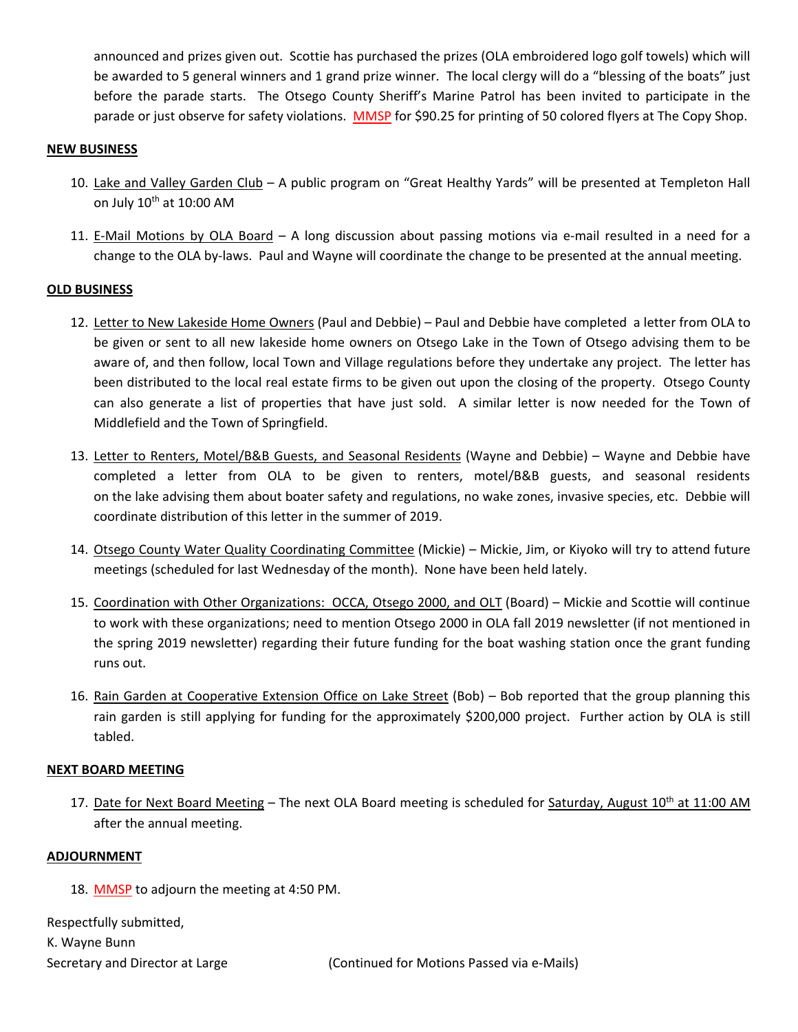announced and prizes given out. Scottie has purchased the prizes (OLA embroidered logo golf towels) which will be awarded to 5 general winners and 1 grand prize winner. The local clergy will do a "blessing of the boats" just before the parade starts. The Otsego County Sheriff's Marine Patrol has been invited to participate in the parade or just observe for safety violations. MMSP for \$90.25 for printing of 50 colored flyers at The Copy Shop.

### **NEW BUSINESS**

- 10. Lake and Valley Garden Club A public program on "Great Healthy Yards" will be presented at Templeton Hall on July  $10^{th}$  at  $10:00$  AM
- 11. E-Mail Motions by OLA Board A long discussion about passing motions via e-mail resulted in a need for a change to the OLA by‐laws. Paul and Wayne will coordinate the change to be presented at the annual meeting.

#### **OLD BUSINESS**

- 12. Letter to New Lakeside Home Owners (Paul and Debbie) Paul and Debbie have completed a letter from OLA to be given or sent to all new lakeside home owners on Otsego Lake in the Town of Otsego advising them to be aware of, and then follow, local Town and Village regulations before they undertake any project. The letter has been distributed to the local real estate firms to be given out upon the closing of the property. Otsego County can also generate a list of properties that have just sold. A similar letter is now needed for the Town of Middlefield and the Town of Springfield.
- 13. Letter to Renters, Motel/B&B Guests, and Seasonal Residents (Wayne and Debbie) Wayne and Debbie have completed a letter from OLA to be given to renters, motel/B&B guests, and seasonal residents on the lake advising them about boater safety and regulations, no wake zones, invasive species, etc. Debbie will coordinate distribution of this letter in the summer of 2019.
- 14. Otsego County Water Quality Coordinating Committee (Mickie) Mickie, Jim, or Kiyoko will try to attend future meetings (scheduled for last Wednesday of the month). None have been held lately.
- 15. Coordination with Other Organizations: OCCA, Otsego 2000, and OLT (Board) Mickie and Scottie will continue to work with these organizations; need to mention Otsego 2000 in OLA fall 2019 newsletter (if not mentioned in the spring 2019 newsletter) regarding their future funding for the boat washing station once the grant funding runs out.
- 16. Rain Garden at Cooperative Extension Office on Lake Street (Bob) Bob reported that the group planning this rain garden is still applying for funding for the approximately \$200,000 project. Further action by OLA is still tabled.

#### **NEXT BOARD MEETING**

17. Date for Next Board Meeting – The next OLA Board meeting is scheduled for Saturday, August  $10^{th}$  at 11:00 AM after the annual meeting.

#### **ADJOURNMENT**

18. MMSP to adjourn the meeting at 4:50 PM.

Respectfully submitted, K. Wayne Bunn Secretary and Director at Large (Continued for Motions Passed via e‐Mails)